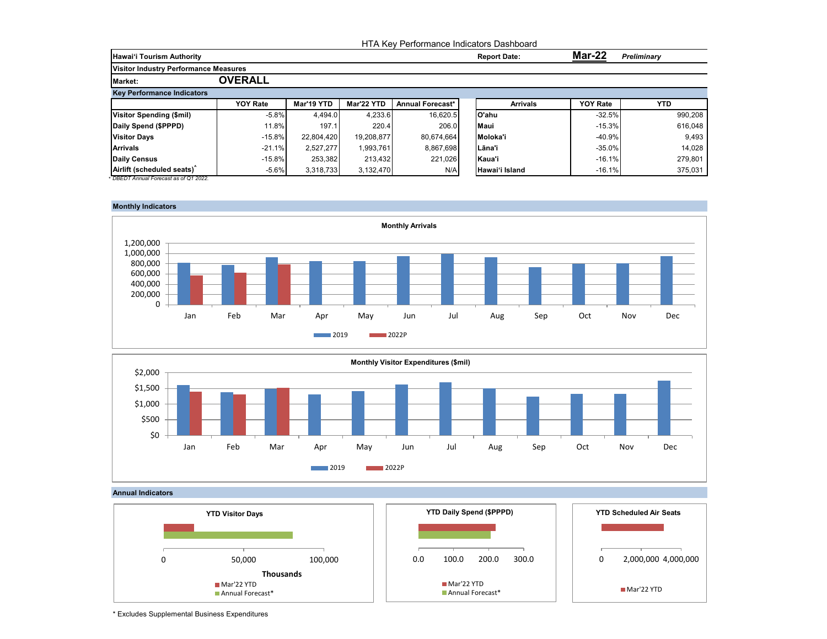|                                              |                 | HTA Key Performance Indicators Dashboard |            |                  |  |                     |                 |                    |  |  |
|----------------------------------------------|-----------------|------------------------------------------|------------|------------------|--|---------------------|-----------------|--------------------|--|--|
| <b>Hawai'i Tourism Authority</b>             |                 |                                          |            |                  |  | <b>Report Date:</b> | <b>Mar-22</b>   | <b>Preliminary</b> |  |  |
| <b>Visitor Industry Performance Measures</b> |                 |                                          |            |                  |  |                     |                 |                    |  |  |
| <b>Market:</b>                               | <b>OVERALL</b>  |                                          |            |                  |  |                     |                 |                    |  |  |
| <b>Key Performance Indicators</b>            |                 |                                          |            |                  |  |                     |                 |                    |  |  |
|                                              | <b>YOY Rate</b> | Mar'19 YTD                               | Mar'22 YTD | Annual Forecast* |  | <b>Arrivals</b>     | <b>YOY Rate</b> | <b>YTD</b>         |  |  |
| <b>Visitor Spending (\$mil)</b>              | $-5.8%$         | 4.494.0                                  | 4,233.6    | 16,620.5         |  | lO'ahu              | $-32.5%$        | 990,208            |  |  |
| Daily Spend (\$PPPD)                         | 11.8%           | 197.1                                    | 220.4      | 206.0            |  | <b>Maui</b>         | $-15.3\%$       | 616,048            |  |  |
| <b>Visitor Days</b>                          | $-15.8%$        | 22.804.420                               | 19.208.877 | 80,674,664       |  | Moloka'i            | $-40.9\%$       | 9,493              |  |  |
| <b>Arrivals</b>                              | $-21.1%$        | 2.527.277                                | 1,993,761  | 8,867,698        |  | Lāna'i              | $-35.0\%$       | 14,028             |  |  |
| Daily Census                                 | $-15.8%$        | 253,382                                  | 213.432    | 221,026          |  | Kaua'i              | $-16.1\%$       | 279,801            |  |  |
| Airlift (scheduled seats)                    | $-5.6%$         | 3,318,733                                | 3,132,470  | N/A              |  | Hawai'i Island      | $-16.1%$        | 375,031            |  |  |







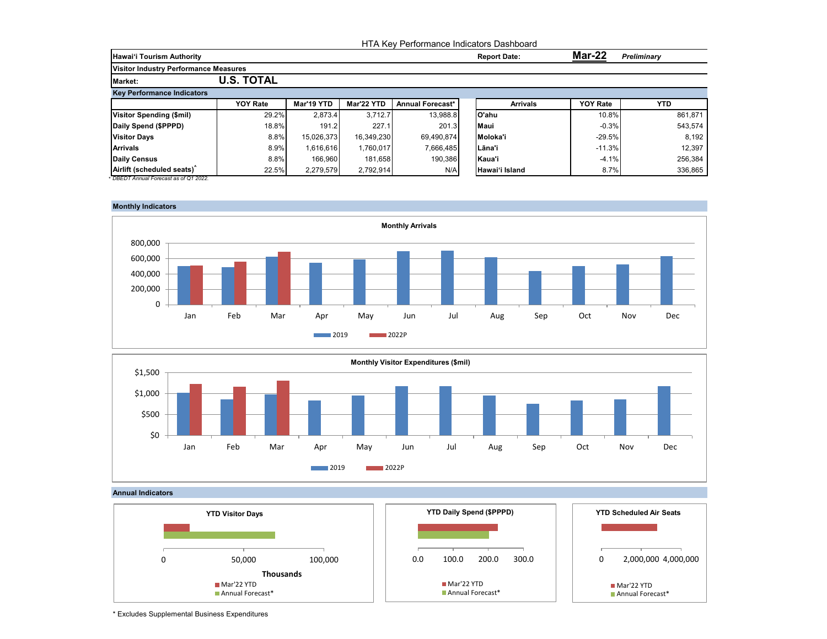|                                              |                   | HTA Key Performance Indicators Dashboard |            |                  |  |                     |                 |                    |  |  |  |
|----------------------------------------------|-------------------|------------------------------------------|------------|------------------|--|---------------------|-----------------|--------------------|--|--|--|
| Hawai'i Tourism Authority                    |                   |                                          |            |                  |  | <b>Report Date:</b> | <b>Mar-22</b>   | <b>Preliminary</b> |  |  |  |
| <b>Visitor Industry Performance Measures</b> |                   |                                          |            |                  |  |                     |                 |                    |  |  |  |
| <b>Market:</b>                               | <b>U.S. TOTAL</b> |                                          |            |                  |  |                     |                 |                    |  |  |  |
| <b>Key Performance Indicators</b>            |                   |                                          |            |                  |  |                     |                 |                    |  |  |  |
|                                              | <b>YOY Rate</b>   | Mar'19 YTD                               | Mar'22 YTD | Annual Forecast* |  | <b>Arrivals</b>     | <b>YOY Rate</b> | <b>YTD</b>         |  |  |  |
| Visitor Spending (\$mil)                     | 29.2%             | 2.873.4                                  | 3.712.7    | 13,988.8         |  | O'ahu               | 10.8%           | 861.871            |  |  |  |
| Daily Spend (\$PPPD)                         | 18.8%             | 191.2                                    | 227.1      | 201.3            |  | <b>Maui</b>         | $-0.3%$         | 543,574            |  |  |  |
| <b>Visitor Days</b>                          | 8.8%              | 15.026.373                               | 16.349.230 | 69,490,874       |  | Moloka'i            | $-29.5%$        | 8,192              |  |  |  |
| <b>Arrivals</b>                              | 8.9%              | 1.616.616                                | 1,760,017  | 7,666,485        |  | l Lāna'i            | $-11.3%$        | 12,397             |  |  |  |
| Daily Census                                 | 8.8%              | 166,960                                  | 181.658    | 190,386          |  | Kaua'i              | $-4.1%$         | 256,384            |  |  |  |
| Airlift (scheduled seats)                    | 22.5%             | 2,279,579                                | 2.792.914  | N/A              |  | Hawai'i Island      | 8.7%            | 336,865            |  |  |  |







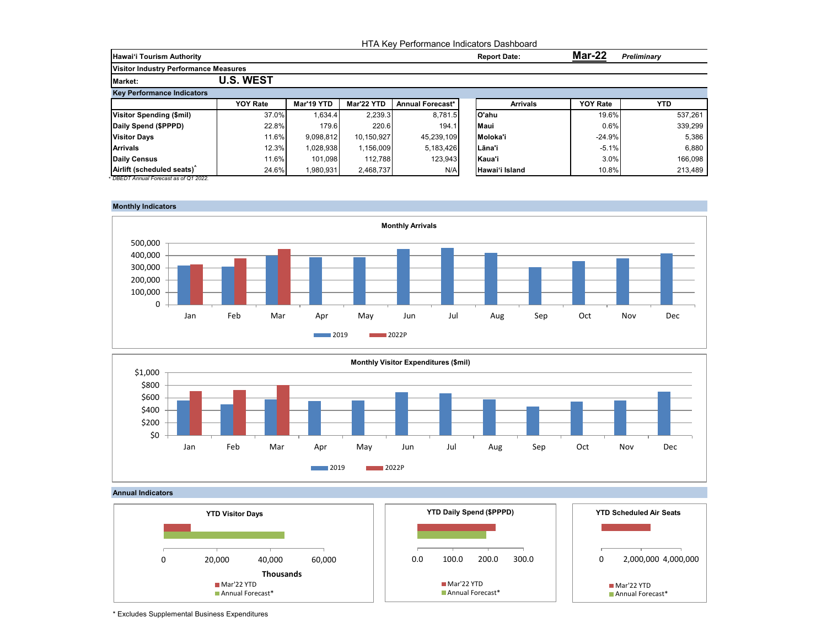|                                              |                  | HTA Key Performance Indicators Dashboard |            |                  |  |                     |                 |             |  |  |  |  |
|----------------------------------------------|------------------|------------------------------------------|------------|------------------|--|---------------------|-----------------|-------------|--|--|--|--|
| <b>Hawai'i Tourism Authority</b>             |                  |                                          |            |                  |  | <b>Report Date:</b> | <b>Mar-22</b>   | Preliminary |  |  |  |  |
| <b>Visitor Industry Performance Measures</b> |                  |                                          |            |                  |  |                     |                 |             |  |  |  |  |
| <b>Market:</b>                               | <b>U.S. WEST</b> |                                          |            |                  |  |                     |                 |             |  |  |  |  |
| <b>Key Performance Indicators</b>            |                  |                                          |            |                  |  |                     |                 |             |  |  |  |  |
|                                              | <b>YOY Rate</b>  | Mar'19 YTD                               | Mar'22 YTD | Annual Forecast* |  | <b>Arrivals</b>     | <b>YOY Rate</b> | YTD.        |  |  |  |  |
| <b>Visitor Spending (\$mil)</b>              | 37.0%            | 1,634.4                                  | 2,239.3    | 8,781.5          |  | O'ahu               | 19.6%           | 537,261     |  |  |  |  |
| Daily Spend (\$PPPD)                         | 22.8%            | 179.6                                    | 220.6      | 194.1            |  | <b>Maui</b>         | 0.6%            | 339,299     |  |  |  |  |
| <b>Visitor Days</b>                          | 11.6%            | 9,098,812                                | 10,150,927 | 45,239,109       |  | Moloka'i            | $-24.9%$        | 5,386       |  |  |  |  |
| <b>Arrivals</b>                              | 12.3%            | 1,028,938                                | 1,156,009  | 5,183,426        |  | lLāna'i             | $-5.1%$         | 6,880       |  |  |  |  |
| Daily Census                                 | 11.6%            | 101,098                                  | 112.788    | 123,943          |  | Kaua'i              | 3.0%            | 166,098     |  |  |  |  |
| Airlift (scheduled seats)                    | 24.6%            | 1,980,931                                | 2.468.737  | N/A              |  | Hawai'i Island      | 10.8%           | 213,489     |  |  |  |  |







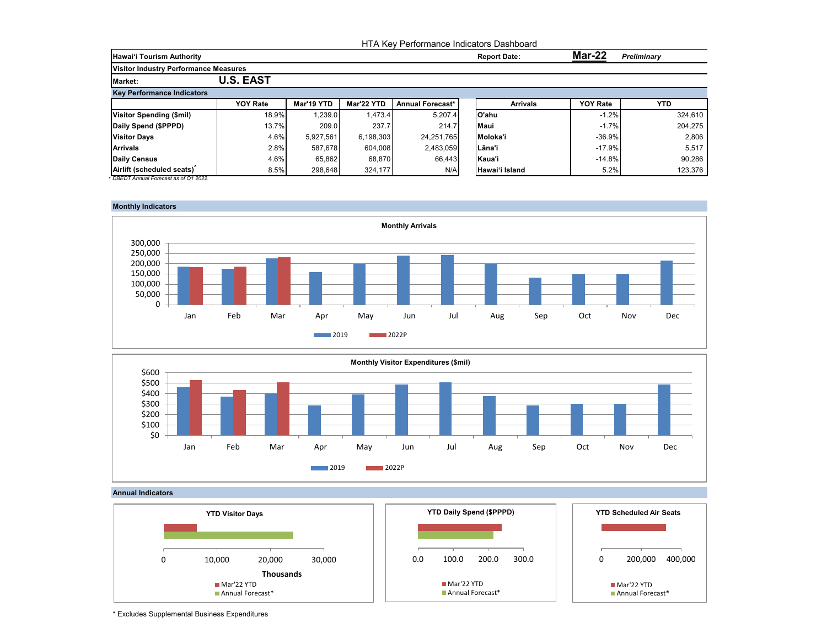|                                              |                  | HTA Key Performance Indicators Dashboard |            |                  |             |                     |                 |                    |  |  |  |
|----------------------------------------------|------------------|------------------------------------------|------------|------------------|-------------|---------------------|-----------------|--------------------|--|--|--|
| <b>Hawai'i Tourism Authority</b>             |                  |                                          |            |                  |             | <b>Report Date:</b> | <b>Mar-22</b>   | <b>Preliminary</b> |  |  |  |
| <b>Visitor Industry Performance Measures</b> |                  |                                          |            |                  |             |                     |                 |                    |  |  |  |
| <b>Market:</b>                               | <b>U.S. EAST</b> |                                          |            |                  |             |                     |                 |                    |  |  |  |
| <b>Key Performance Indicators</b>            |                  |                                          |            |                  |             |                     |                 |                    |  |  |  |
|                                              | <b>YOY Rate</b>  | Mar'19 YTD                               | Mar'22 YTD | Annual Forecast* |             | <b>Arrivals</b>     | <b>YOY Rate</b> | <b>YTD</b>         |  |  |  |
| <b>Visitor Spending (\$mil)</b>              | 18.9%            | 1,239.0                                  | 1,473.4    | 5,207.4          | lO'ahu      |                     | $-1.2%$         | 324,610            |  |  |  |
| Daily Spend (\$PPPD)                         | 13.7%            | 209.0                                    | 237.7      | 214.7            | <b>Maui</b> |                     | $-1.7%$         | 204,275            |  |  |  |
| <b>Visitor Days</b>                          | 4.6%             | 5,927,561                                | 6,198,303  | 24,251,765       | Moloka'i    |                     | $-36.9%$        | 2,806              |  |  |  |
| <b>Arrivals</b>                              | 2.8%             | 587,678                                  | 604,008    | 2,483,059        | l Lāna'i    |                     | $-17.9%$        | 5,517              |  |  |  |
| Daily Census                                 | 4.6%             | 65,862                                   | 68.870     | 66,443           | Kaua'i      |                     | $-14.8\%$       | 90,286             |  |  |  |
| Airlift (scheduled seats)                    | 8.5%             | 298,648                                  | 324,177    | N/A              |             | Hawai'i Island      | 5.2%            | 123,376            |  |  |  |







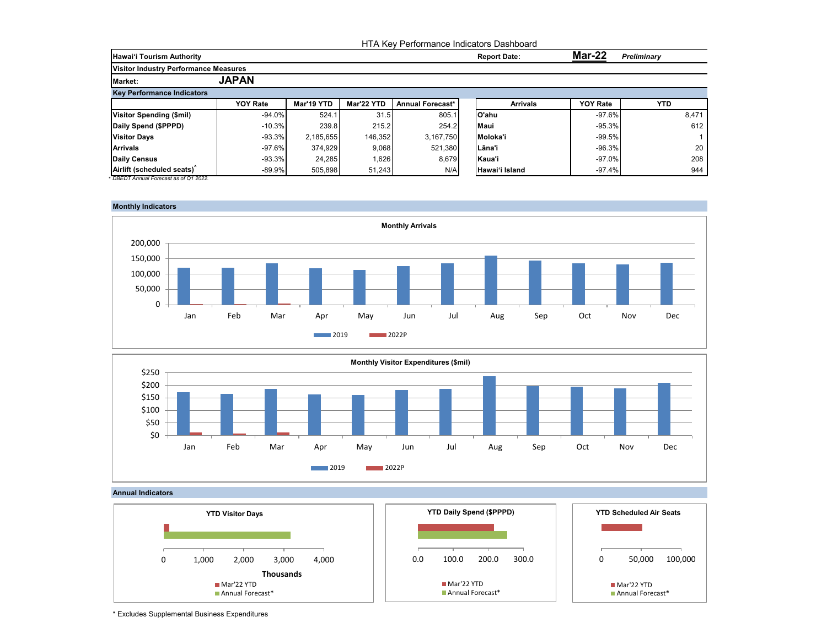|                                              |                 | HTA Key Performance Indicators Dashboard |            |                         |  |                     |                 |                    |  |  |  |
|----------------------------------------------|-----------------|------------------------------------------|------------|-------------------------|--|---------------------|-----------------|--------------------|--|--|--|
| <b>Hawai'i Tourism Authority</b>             |                 |                                          |            |                         |  | <b>Report Date:</b> | Mar-22          | <b>Preliminary</b> |  |  |  |
| <b>Visitor Industry Performance Measures</b> |                 |                                          |            |                         |  |                     |                 |                    |  |  |  |
| <b>Market:</b>                               | <b>JAPAN</b>    |                                          |            |                         |  |                     |                 |                    |  |  |  |
| <b>Key Performance Indicators</b>            |                 |                                          |            |                         |  |                     |                 |                    |  |  |  |
|                                              | <b>YOY Rate</b> | Mar'19 YTD                               | Mar'22 YTD | <b>Annual Forecast*</b> |  | <b>Arrivals</b>     | <b>YOY Rate</b> | <b>YTD</b>         |  |  |  |
| <b>Visitor Spending (\$mil)</b>              | $-94.0\%$       | 524.1                                    | 31.5       | 805.1                   |  | O'ahu               | $-97.6\%$       | 8,471              |  |  |  |
| Daily Spend (\$PPPD)                         | $-10.3%$        | 239.8                                    | 215.2      | 254.2                   |  | Maui                | $-95.3\%$       | 612                |  |  |  |
| <b>Visitor Days</b>                          | $-93.3%$        | 2,185,655                                | 146.352    | 3,167,750               |  | Moloka'i            | $-99.5%$        |                    |  |  |  |
| <b>Arrivals</b>                              | $-97.6%$        | 374,929                                  | 9,068      | 521,380                 |  | Lāna'i              | $-96.3\%$       | 20                 |  |  |  |
| Daily Census                                 | $-93.3%$        | 24,285                                   | 1,626      | 8,679                   |  | Kaua'i              | $-97.0\%$       | 208                |  |  |  |
| Airlift (scheduled seats)                    | $-89.9%$        | 505,898                                  | 51,243     | N/A                     |  | Hawai'i Island      | -97.4%          | 944                |  |  |  |







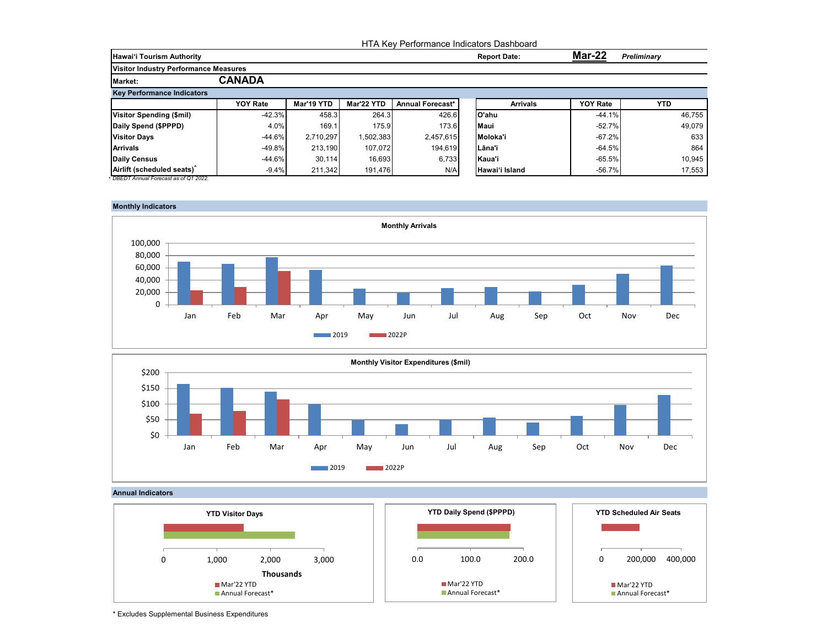|                                              | HTA Key Performance Indicators Dashboard |            |            |                  |             |                     |                 |             |  |  |
|----------------------------------------------|------------------------------------------|------------|------------|------------------|-------------|---------------------|-----------------|-------------|--|--|
| <b>Hawai'i Tourism Authority</b>             |                                          |            |            |                  |             | <b>Report Date:</b> | <b>Mar-22</b>   | Preliminary |  |  |
| <b>Visitor Industry Performance Measures</b> |                                          |            |            |                  |             |                     |                 |             |  |  |
| <b>Market:</b>                               | <b>CANADA</b>                            |            |            |                  |             |                     |                 |             |  |  |
| <b>Key Performance Indicators</b>            |                                          |            |            |                  |             |                     |                 |             |  |  |
|                                              | <b>YOY Rate</b>                          | Mar'19 YTD | Mar'22 YTD | Annual Forecast* |             | <b>Arrivals</b>     | <b>YOY Rate</b> | <b>YTD</b>  |  |  |
| <b>Visitor Spending (\$mil)</b>              | $-42.3%$                                 | 458.3      | 264.3      | 426.6            | lO'ahu      |                     | $-44.1%$        | 46,755      |  |  |
| Daily Spend (\$PPPD)                         | 4.0%                                     | 169.1      | 175.9      | 173.6            | <b>Maui</b> |                     | $-52.7%$        | 49,079      |  |  |
| <b>Visitor Days</b>                          | $-44.6%$                                 | 2.710.297  | 1,502,383  | 2,457,615        | Moloka'i    |                     | $-67.2\%$       | 633         |  |  |
| <b>Arrivals</b>                              | $-49.8%$                                 | 213,190    | 107.072    | 194,619          | Lāna'i      |                     | $-64.5%$        | 864         |  |  |
| <b>Daily Census</b>                          | $-44.6%$                                 | 30,114     | 16.693     | 6,733            | Kaua'i      |                     | $-65.5%$        | 10,945      |  |  |
| Airlift (scheduled seats)                    | $-9.4%$                                  | 211,342    | 191.476    | N/A              |             | Hawai'i Island      | $-56.7%$        | 17,553      |  |  |







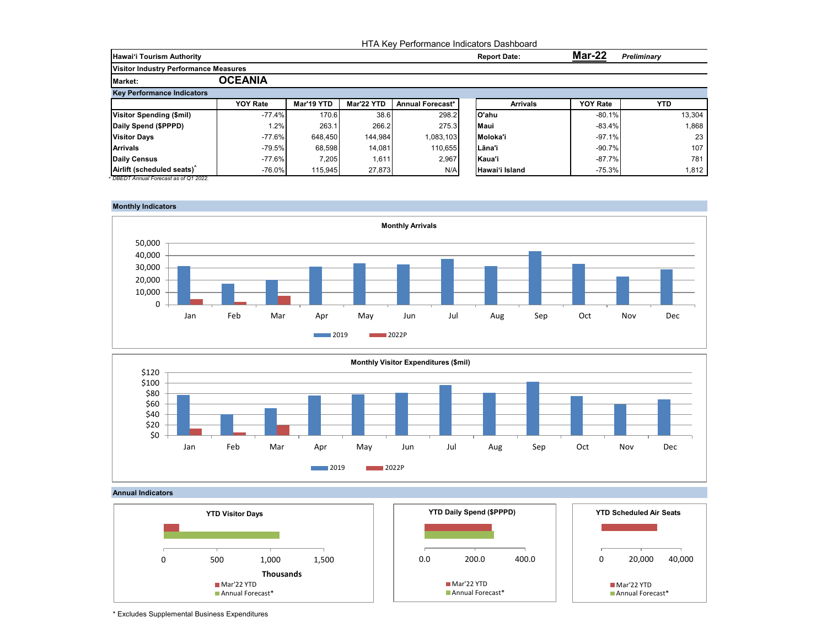|                                              |                 |            |            | HTA Key Performance Indicators Dashboard |                     |                 |                    |
|----------------------------------------------|-----------------|------------|------------|------------------------------------------|---------------------|-----------------|--------------------|
| <b>Hawai'i Tourism Authority</b>             |                 |            |            |                                          | <b>Report Date:</b> | Mar-22          | <b>Preliminary</b> |
| <b>Visitor Industry Performance Measures</b> |                 |            |            |                                          |                     |                 |                    |
| <b>Market:</b>                               | <b>OCEANIA</b>  |            |            |                                          |                     |                 |                    |
| <b>Key Performance Indicators</b>            |                 |            |            |                                          |                     |                 |                    |
|                                              | <b>YOY Rate</b> | Mar'19 YTD | Mar'22 YTD | Annual Forecast*                         | <b>Arrivals</b>     | <b>YOY Rate</b> | <b>YTD</b>         |
| Visitor Spending (\$mil)                     | $-77.4%$        | 170.6      | 38.6       | 298.2                                    | lO'ahu              | $-80.1%$        | 13,304             |
| Daily Spend (\$PPPD)                         | 1.2%            | 263.1      | 266.2      | 275.3                                    | <b>Maui</b>         | $-83.4%$        | 1,868              |
| <b>Visitor Days</b>                          | $-77.6%$        | 648.450    | 144.984    | 1,083,103                                | Moloka'i            | $-97.1%$        | 23                 |
| <b>Arrivals</b>                              | $-79.5%$        | 68,598     | 14,081     | 110,655                                  | ILāna'i             | $-90.7\%$       | 107                |
| <b>Daily Census</b>                          | -77.6%          | 7,205      | 1,611      | 2,967                                    | Kaua'i              | -87.7%          | 781                |
| Airlift (scheduled seats)                    | $-76.0%$        | 115.945    | 27.873     | N/A                                      | Hawai'i Island      | $-75.3%$        | 1,812              |







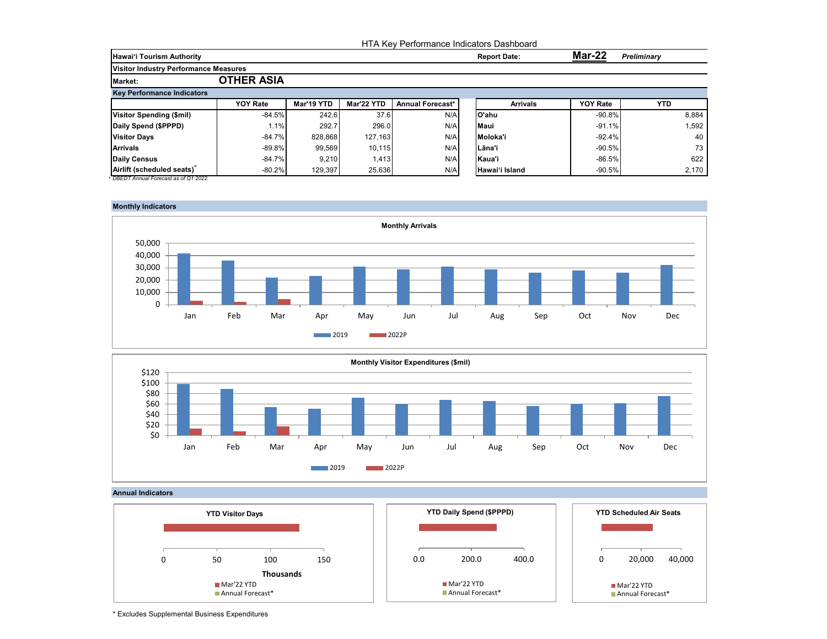|                                       |                   |            |            |                  | HTA Key Performance Indicators Dashboard |                 |                    |
|---------------------------------------|-------------------|------------|------------|------------------|------------------------------------------|-----------------|--------------------|
| <b>Hawai'i Tourism Authority</b>      |                   |            |            |                  | <b>Report Date:</b>                      | Mar-22          | <b>Preliminary</b> |
| Visitor Industry Performance Measures |                   |            |            |                  |                                          |                 |                    |
| <b>Market:</b>                        | <b>OTHER ASIA</b> |            |            |                  |                                          |                 |                    |
| <b>Key Performance Indicators</b>     |                   |            |            |                  |                                          |                 |                    |
|                                       | <b>YOY Rate</b>   | Mar'19 YTD | Mar'22 YTD | Annual Forecast* | <b>Arrivals</b>                          | <b>YOY Rate</b> | <b>YTD</b>         |
| Visitor Spending (\$mil)              | $-84.5%$          | 242.6      | 37.6       | N/A              | O'ahu                                    | $-90.8\%$       | 8,884              |
| Daily Spend (\$PPPD)                  | 1.1%              | 292.7      | 296.0      | N/A              | <b>Maui</b>                              | $-91.1%$        | 1,592              |
| <b>Visitor Days</b>                   | $-84.7%$          | 828,868    | 127,163    | N/A              | Moloka'i                                 | $-92.4%$        | 40                 |
| <b>Arrivals</b>                       | $-89.8%$          | 99,569     | 10.115     | N/A              | ILāna'i                                  | $-90.5%$        | 73                 |
| <b>Daily Census</b>                   | $-84.7%$          | 9.210      | 1,413      | N/A              | Kaua'i                                   | $-86.5%$        | 622                |
| Airlift (scheduled seats)             | $-80.2%$          | 129.397    | 25,636     | N/A              | Hawai'i Island                           | $-90.5%$        | 2,170              |







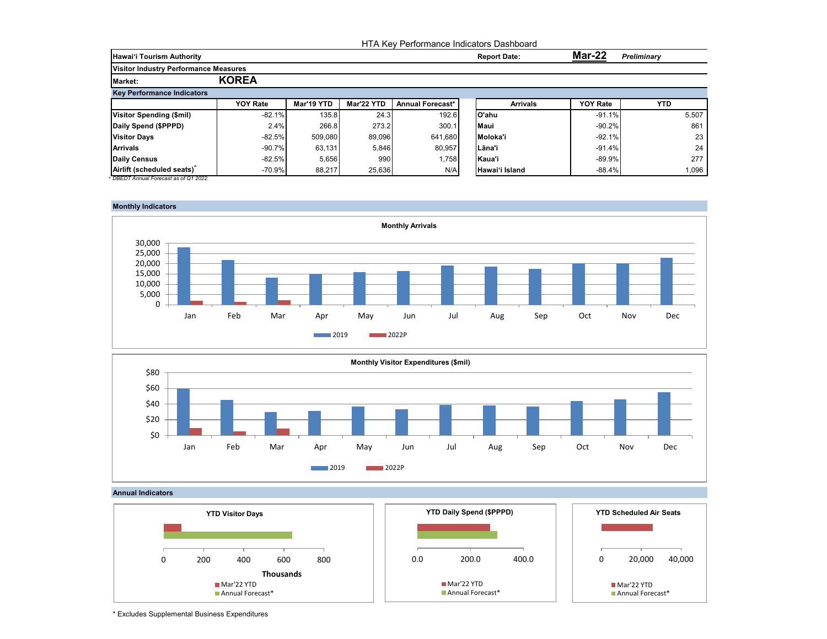|                                              |                 | HTA Key Performance Indicators Dashboard |            |                         |  |                     |                 |                    |  |  |  |
|----------------------------------------------|-----------------|------------------------------------------|------------|-------------------------|--|---------------------|-----------------|--------------------|--|--|--|
| <b>Hawai'i Tourism Authority</b>             |                 |                                          |            |                         |  | <b>Report Date:</b> | Mar-22          | <b>Preliminary</b> |  |  |  |
| <b>Visitor Industry Performance Measures</b> |                 |                                          |            |                         |  |                     |                 |                    |  |  |  |
| <b>Market:</b>                               | <b>KOREA</b>    |                                          |            |                         |  |                     |                 |                    |  |  |  |
| <b>Key Performance Indicators</b>            |                 |                                          |            |                         |  |                     |                 |                    |  |  |  |
|                                              | <b>YOY Rate</b> | Mar'19 YTD                               | Mar'22 YTD | <b>Annual Forecast*</b> |  | <b>Arrivals</b>     | <b>YOY Rate</b> | <b>YTD</b>         |  |  |  |
| Visitor Spending (\$mil)                     | $-82.1%$        | 135.8                                    | 24.3       | 192.6                   |  | lO'ahu              | $-91.1%$        | 5,507              |  |  |  |
| Daily Spend (\$PPPD)                         | 2.4%            | 266.8                                    | 273.2      | 300.1                   |  | Maui                | $-90.2%$        | 861                |  |  |  |
| <b>Visitor Days</b>                          | $-82.5%$        | 509,080                                  | 89.096     | 641.680                 |  | Moloka'i            | $-92.1%$        | 23                 |  |  |  |
| <b>Arrivals</b>                              | $-90.7\%$       | 63,131                                   | 5,846      | 80.957                  |  | Lāna'i              | $-91.4%$        | 24                 |  |  |  |
| <b>Daily Census</b>                          | $-82.5%$        | 5,656                                    | 990        | 1,758                   |  | Kaua'i              | $-89.9\%$       | 277                |  |  |  |
| Airlift (scheduled seats)                    | $-70.9%$        | 88,217                                   | 25,636     | N/A                     |  | Hawai'i Island      | $-88.4%$        | 1,096              |  |  |  |







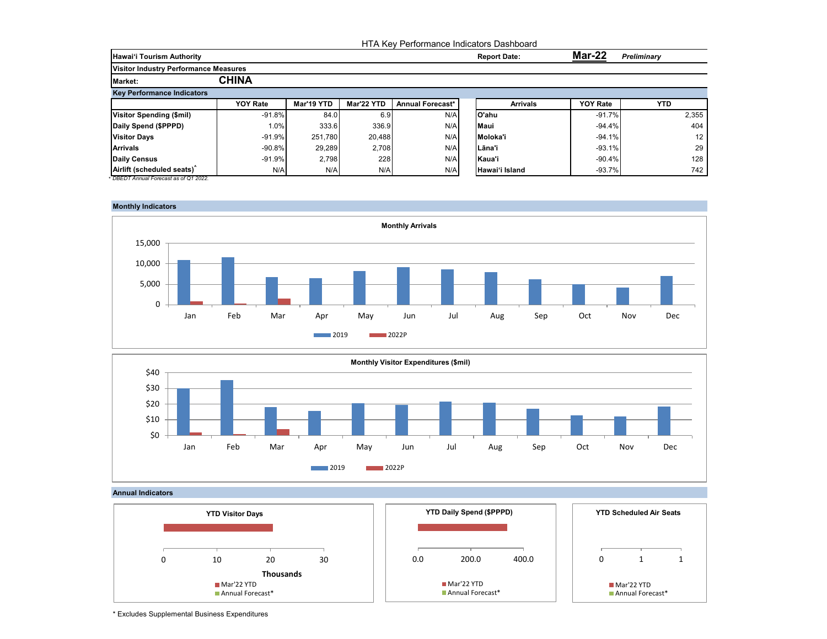|                                              |                 | HTA Key Performance Indicators Dashboard |            |                  |                     |                 |                   |  |  |  |  |
|----------------------------------------------|-----------------|------------------------------------------|------------|------------------|---------------------|-----------------|-------------------|--|--|--|--|
| <b>Hawai'i Tourism Authority</b>             |                 |                                          |            |                  | <b>Report Date:</b> | <b>Mar-22</b>   | Preliminary       |  |  |  |  |
| <b>Visitor Industry Performance Measures</b> |                 |                                          |            |                  |                     |                 |                   |  |  |  |  |
| <b>Market:</b>                               | <b>CHINA</b>    |                                          |            |                  |                     |                 |                   |  |  |  |  |
| <b>Key Performance Indicators</b>            |                 |                                          |            |                  |                     |                 |                   |  |  |  |  |
|                                              | <b>YOY Rate</b> | Mar'19 YTD                               | Mar'22 YTD | Annual Forecast* | <b>Arrivals</b>     | <b>YOY Rate</b> | <b>YTD</b>        |  |  |  |  |
| <b>Visitor Spending (\$mil)</b>              | $-91.8%$        | 84.0                                     | 6.9        | N/A              | lO'ahu              | $-91.7%$        | 2,355             |  |  |  |  |
| Daily Spend (\$PPPD)                         | 1.0%            | 333.6                                    | 336.9      | N/A              | <b>Maui</b>         | $-94.4%$        | 404               |  |  |  |  |
| <b>Visitor Days</b>                          | $-91.9%$        | 251,780                                  | 20,488     | N/A              | Moloka'i            | $-94.1%$        | $12 \overline{ }$ |  |  |  |  |
| <b>Arrivals</b>                              | $-90.8%$        | 29,289                                   | 2,708      | N/A              | Lāna'i              | $-93.1%$        | 29                |  |  |  |  |
| <b>Daily Census</b>                          | $-91.9%$        | 2,798                                    | 228        | N/A              | Kaua'i              | $-90.4%$        | 128               |  |  |  |  |
| Airlift (scheduled seats)                    | N/A             | N/A                                      | N/A        | N/A              | Hawai'i Island      | $-93.7%$        | 742               |  |  |  |  |







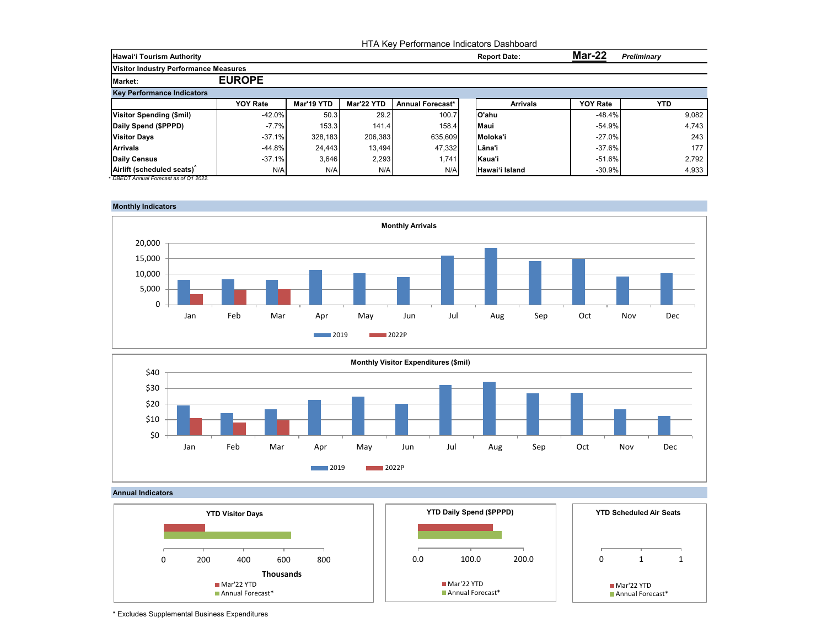|                                              |                 |            |            |                  | HTA Key Performance Indicators Dashboard |                 |                    |
|----------------------------------------------|-----------------|------------|------------|------------------|------------------------------------------|-----------------|--------------------|
| <b>Hawai'i Tourism Authority</b>             |                 |            |            |                  | <b>Report Date:</b>                      | Mar-22          | <b>Preliminary</b> |
| <b>Visitor Industry Performance Measures</b> |                 |            |            |                  |                                          |                 |                    |
| <b>Market:</b>                               | <b>EUROPE</b>   |            |            |                  |                                          |                 |                    |
| <b>Key Performance Indicators</b>            |                 |            |            |                  |                                          |                 |                    |
|                                              | <b>YOY Rate</b> | Mar'19 YTD | Mar'22 YTD | Annual Forecast* | <b>Arrivals</b>                          | <b>YOY Rate</b> | YTD.               |
| <b>Visitor Spending (\$mil)</b>              | $-42.0%$        | 50.3       | 29.2       | 100.7            | lO'ahu                                   | $-48.4%$        | 9,082              |
| Daily Spend (\$PPPD)                         | $-7.7%$         | 153.3      | 141.4      | 158.4            | <b>Maui</b>                              | $-54.9%$        | 4,743              |
| <b>Visitor Days</b>                          | $-37.1%$        | 328,183    | 206,383    | 635,609          | Moloka'i                                 | $-27.0%$        | 243                |
| <b>Arrivals</b>                              | $-44.8%$        | 24,443     | 13.494     | 47,332           | Lāna'i                                   | $-37.6%$        | 177                |
| Daily Census                                 | $-37.1%$        | 3,646      | 2,293      | 1,741            | Kaua'i                                   | $-51.6%$        | 2,792              |
| Airlift (scheduled seats)                    | N/A             | N/A        | N/A        | N/A              | Hawai'i Island                           | $-30.9%$        | 4,933              |